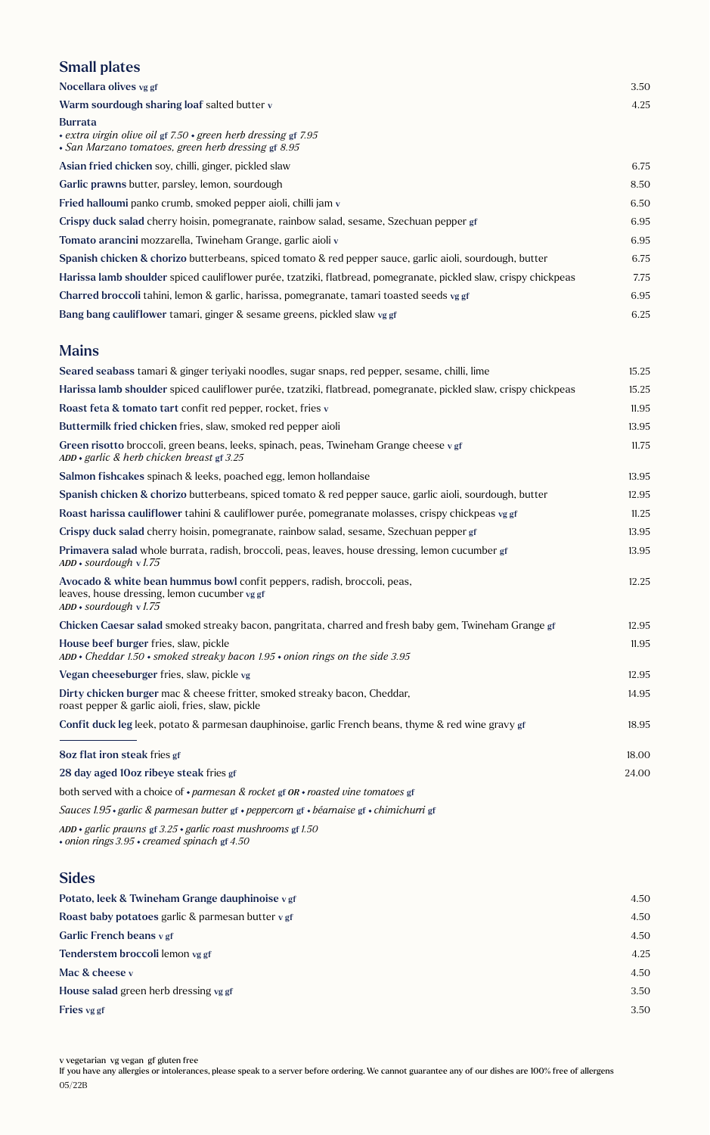### Small plates

| Nocellara olives vg gf                                                                                                                              | 3.50 |
|-----------------------------------------------------------------------------------------------------------------------------------------------------|------|
| Warm sourdough sharing loaf salted butter v                                                                                                         | 4.25 |
| <b>Burrata</b><br>$\cdot$ extra virgin olive oil gf 7.50 $\cdot$ green herb dressing gf 7.95<br>• San Marzano tomatoes, green herb dressing gf 8.95 |      |
| Asian fried chicken soy, chilli, ginger, pickled slaw                                                                                               | 6.75 |
| Garlic prawns butter, parsley, lemon, sourdough                                                                                                     | 8.50 |
| Fried halloumi panko crumb, smoked pepper aioli, chilli jam v                                                                                       | 6.50 |
| Crispy duck salad cherry hoisin, pomegranate, rainbow salad, sesame, Szechuan pepper gf                                                             | 6.95 |
| Tomato arancini mozzarella, Twineham Grange, garlic aioli v                                                                                         | 6.95 |
| Spanish chicken & chorizo butterbeans, spiced tomato & red pepper sauce, garlic aioli, sourdough, butter                                            | 6.75 |
| Harissa lamb shoulder spiced cauliflower purée, tzatziki, flatbread, pomegranate, pickled slaw, crispy chickpeas                                    | 7.75 |
| Charred broccoli tahini, lemon & garlic, harissa, pomegranate, tamari toasted seeds vg gf                                                           | 6.95 |
| Bang bang cauliflower tamari, ginger & sesame greens, pickled slaw vg gf                                                                            | 6.25 |

#### Mains

| Seared seabass tamari & ginger teriyaki noodles, sugar snaps, red pepper, sesame, chilli, lime                                                       | 15.25 |
|------------------------------------------------------------------------------------------------------------------------------------------------------|-------|
| Harissa lamb shoulder spiced cauliflower purée, tzatziki, flatbread, pomegranate, pickled slaw, crispy chickpeas                                     | 15.25 |
| Roast feta & tomato tart confit red pepper, rocket, fries v                                                                                          | 11.95 |
| Buttermilk fried chicken fries, slaw, smoked red pepper aioli                                                                                        | 13.95 |
| Green risotto broccoli, green beans, leeks, spinach, peas, Twineham Grange cheese vgf<br>$ADD \cdot$ garlic & herb chicken breast gf 3.25            | 11.75 |
| Salmon fishcakes spinach & leeks, poached egg, lemon hollandaise                                                                                     | 13.95 |
| Spanish chicken & chorizo butterbeans, spiced tomato & red pepper sauce, garlic aioli, sourdough, butter                                             | 12.95 |
| Roast harissa cauliflower tahini & cauliflower purée, pomegranate molasses, crispy chickpeas vg gf                                                   | 11.25 |
| Crispy duck salad cherry hoisin, pomegranate, rainbow salad, sesame, Szechuan pepper gf                                                              | 13.95 |
| Primavera salad whole burrata, radish, broccoli, peas, leaves, house dressing, lemon cucumber gf<br>$ADD * sourdough v 1.75$                         | 13.95 |
| Avocado & white bean hummus bowl confit peppers, radish, broccoli, peas,<br>leaves, house dressing, lemon cucumber vg gf<br>$ADD * sourdough v 1.75$ | 12.25 |
| Chicken Caesar salad smoked streaky bacon, pangritata, charred and fresh baby gem, Twineham Grange gf                                                | 12.95 |
| House beef burger fries, slaw, pickle<br>$ADD * Cheddar 1.50 * smoked\ strength\ bacon$ 1.95 $\cdot$ onion rings on the side 3.95                    | 11.95 |
| Vegan cheeseburger fries, slaw, pickle vg                                                                                                            | 12.95 |
| Dirty chicken burger mac & cheese fritter, smoked streaky bacon, Cheddar,<br>roast pepper & garlic aioli, fries, slaw, pickle                        | 14.95 |
| Confit duck leg leek, potato & parmesan dauphinoise, garlic French beans, thyme & red wine gravy gf                                                  | 18.95 |
| 8oz flat iron steak fries gf                                                                                                                         | 18.00 |
| 28 day aged 10oz ribeye steak fries gf                                                                                                               | 24.00 |
| both served with a choice of $\cdot$ parmesan & rocket gf $OR \cdot$ roasted vine tomatoes gf                                                        |       |
| Sauces 1.95 · garlic & parmesan butter gf · peppercorn gf · béarnaise gf · chimichurri gf                                                            |       |

*ADD garlic prawns* gf *3.25 garlic roast mushrooms* gf *1.50 onion rings 3.95 creamed spinach* gf *4.50*

#### Sides

| 4.50 |
|------|
| 4.50 |
| 4.50 |
| 4.25 |
| 4.50 |
| 3.50 |
| 3.50 |
|      |

If you have any allergies or intolerances, please speak to a server before ordering. We cannot guarantee any of our dishes are 100% free of allergens 05/22B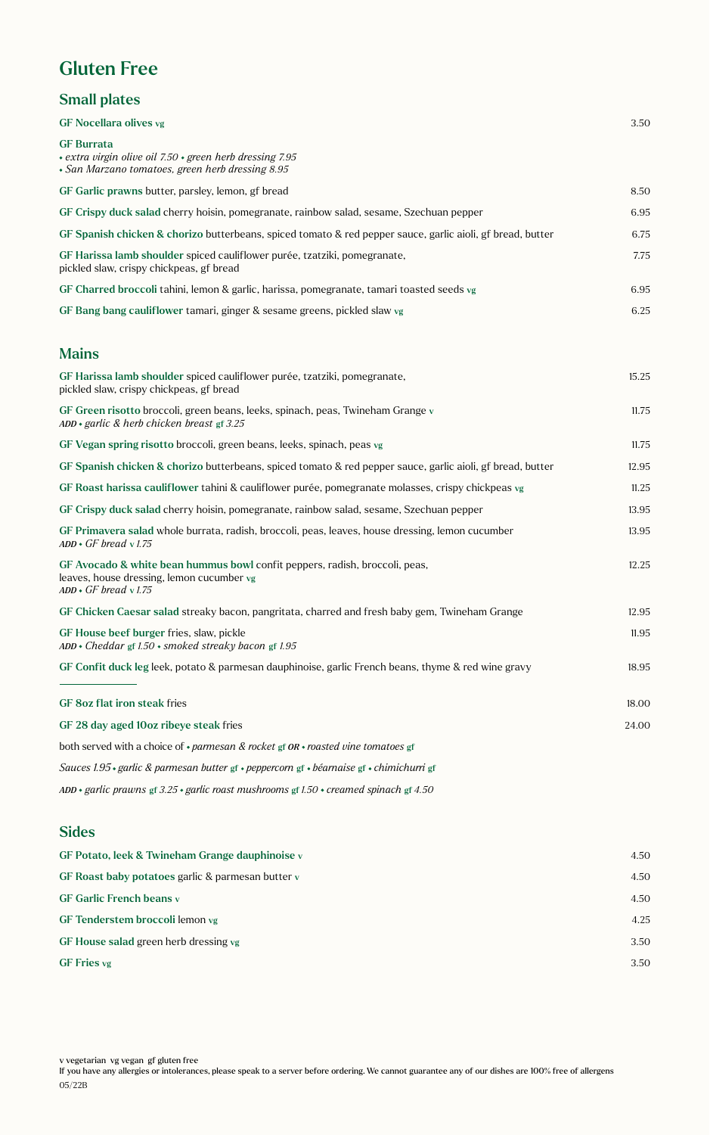## Gluten Free

### Small plates

| <b>GF Nocellara olives vg</b>                                                                                                                          | 3.50  |
|--------------------------------------------------------------------------------------------------------------------------------------------------------|-------|
| <b>GF Burrata</b><br>+ extra virgin olive oil 7.50 + green herb dressing 7.95<br>• San Marzano tomatoes, green herb dressing 8.95                      |       |
| GF Garlic prawns butter, parsley, lemon, gf bread                                                                                                      | 8.50  |
| GF Crispy duck salad cherry hoisin, pomegranate, rainbow salad, sesame, Szechuan pepper                                                                | 6.95  |
| GF Spanish chicken & chorizo butterbeans, spiced tomato & red pepper sauce, garlic aioli, gf bread, butter                                             | 6.75  |
| GF Harissa lamb shoulder spiced cauliflower purée, tzatziki, pomegranate,<br>pickled slaw, crispy chickpeas, gf bread                                  | 7.75  |
| GF Charred broccoli tahini, lemon & garlic, harissa, pomegranate, tamari toasted seeds vg                                                              | 6.95  |
| GF Bang bang cauliflower tamari, ginger & sesame greens, pickled slaw vg                                                                               | 6.25  |
| <b>Mains</b>                                                                                                                                           |       |
| GF Harissa lamb shoulder spiced cauliflower purée, tzatziki, pomegranate,<br>pickled slaw, crispy chickpeas, gf bread                                  | 15.25 |
| GF Green risotto broccoli, green beans, leeks, spinach, peas, Twineham Grange v<br>$ADD \cdot$ garlic & herb chicken breast gf 3.25                    | 11.75 |
| GF Vegan spring risotto broccoli, green beans, leeks, spinach, peas vg                                                                                 | 11.75 |
| GF Spanish chicken & chorizo butterbeans, spiced tomato & red pepper sauce, garlic aioli, gf bread, butter                                             | 12.95 |
| GF Roast harissa cauliflower tahini & cauliflower purée, pomegranate molasses, crispy chickpeas vg                                                     | 11.25 |
| GF Crispy duck salad cherry hoisin, pomegranate, rainbow salad, sesame, Szechuan pepper                                                                | 13.95 |
| GF Primavera salad whole burrata, radish, broccoli, peas, leaves, house dressing, lemon cucumber<br>$ADD \cdot GF$ bread $v$ 1.75                      | 13.95 |
| GF Avocado & white bean hummus bowl confit peppers, radish, broccoli, peas,<br>leaves, house dressing, lemon cucumber vg<br>$ADD \cdot GF$ bread v1.75 | 12.25 |
| GF Chicken Caesar salad streaky bacon, pangritata, charred and fresh baby gem, Twineham Grange                                                         | 12.95 |
| GF House beef burger fries, slaw, pickle<br>$ADD * Cheddar$ gf 1.50 $\cdot$ smoked streaky bacon gf 1.95                                               | 11.95 |
| GF Confit duck leg leek, potato & parmesan dauphinoise, garlic French beans, thyme & red wine gravy                                                    | 18.95 |
| GF 8oz flat iron steak fries                                                                                                                           | 18.00 |
| GF 28 day aged 10oz ribeye steak fries                                                                                                                 | 24.00 |
| both served with a choice of $\cdot$ parmesan & rocket gf OR $\cdot$ roasted vine tomatoes gf                                                          |       |
| Sauces 1.95 · garlic & parmesan butter gf · peppercorn gf · béarnaise gf · chimichurri gf                                                              |       |
| ADD • garlic prawns gf 3.25 • garlic roast mushrooms gf 1.50 • creamed spinach gf 4.50                                                                 |       |
|                                                                                                                                                        |       |

#### Sides

| GF Potato, leek & Twineham Grange dauphinoise v   | 4.50 |
|---------------------------------------------------|------|
| GF Roast baby potatoes garlic & parmesan butter v | 4.50 |
| <b>GF Garlic French beans v</b>                   | 4.50 |
| GF Tenderstem broccoli lemon vg                   | 4.25 |
| GF House salad green herb dressing vg             | 3.50 |
| GF Fries vg                                       | 3.50 |
|                                                   |      |

v vegetarian vg vegan gf gluten free

If you have any allergies or intolerances, please speak to a server before ordering. We cannot guarantee any of our dishes are 100% free of allergens 05/22B